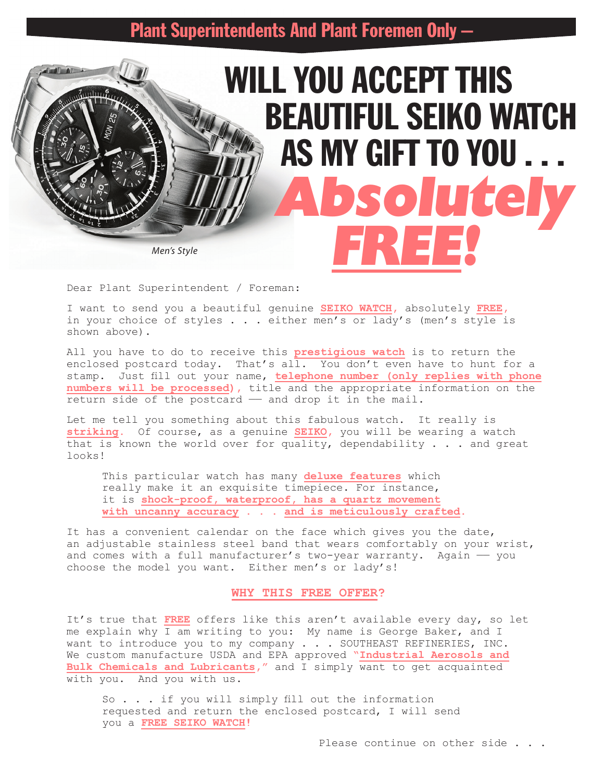WILL YOU ACCEPT THIS

BEAUTIFUL SEIKO WATCH

AS MY GIFT TO YOU . . .

*Absolutely FREE!*

*Men's Style*

 $m\nu$ 

### Dear Plant Superintendent / Foreman:

I want to send you a beautiful genuine **SEIKO WATCH,** absolutely **FREE,** in your choice of styles . . . either men's or lady's (men's style is shown above).

All you have to do to receive this **prestigious watch** is to return the enclosed postcard today. That's all. You don't even have to hunt for a stamp. Just fill out your name, **telephone number (only replies with phone numbers will be processed),** title and the appropriate information on the return side of the postcard - and drop it in the mail.

Let me tell you something about this fabulous watch. It really is **striking.** Of course, as a genuine **SEIKO,** you will be wearing a watch that is known the world over for quality, dependability  $\ldots$  and great looks!

This particular watch has many **deluxe features** which really make it an exquisite timepiece. For instance, it is **shock-proof, waterproof, has a quartz movement with uncanny accuracy . . . and is meticulously crafted.**

It has a convenient calendar on the face which gives you the date, an adjustable stainless steel band that wears comfortably on your wrist, and comes with a full manufacturer's two-year warranty. Again - you choose the model you want. Either men's or lady's!

## **WHY THIS FREE OFFER?**

It's true that **FREE** offers like this aren't available every day, so let me explain why I am writing to you: My name is George Baker, and I want to introduce you to my company . . . SOUTHEAST REFINERIES, INC. We custom manufacture USDA and EPA approved **"Industrial Aerosols and Bulk Chemicals and Lubricants,"** and I simply want to get acquainted with you. And you with us.

So . . . if you will simply fill out the information requested and return the enclosed postcard, I will send you a **FREE SEIKO WATCH!**